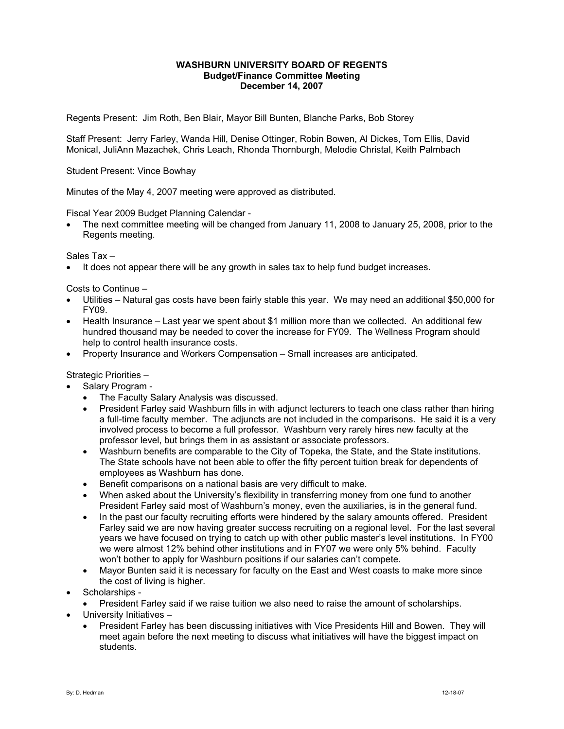## **WASHBURN UNIVERSITY BOARD OF REGENTS Budget/Finance Committee Meeting December 14, 2007**

Regents Present: Jim Roth, Ben Blair, Mayor Bill Bunten, Blanche Parks, Bob Storey

Staff Present: Jerry Farley, Wanda Hill, Denise Ottinger, Robin Bowen, Al Dickes, Tom Ellis, David Monical, JuliAnn Mazachek, Chris Leach, Rhonda Thornburgh, Melodie Christal, Keith Palmbach

Student Present: Vince Bowhay

Minutes of the May 4, 2007 meeting were approved as distributed.

Fiscal Year 2009 Budget Planning Calendar -

• The next committee meeting will be changed from January 11, 2008 to January 25, 2008, prior to the Regents meeting.

Sales Tax –

• It does not appear there will be any growth in sales tax to help fund budget increases.

Costs to Continue –

- Utilities Natural gas costs have been fairly stable this year. We may need an additional \$50,000 for FY09.
- Health Insurance Last year we spent about \$1 million more than we collected. An additional few hundred thousand may be needed to cover the increase for FY09. The Wellness Program should help to control health insurance costs.
- Property Insurance and Workers Compensation Small increases are anticipated.

Strategic Priorities –

- Salary Program
	- The Faculty Salary Analysis was discussed.
	- President Farley said Washburn fills in with adjunct lecturers to teach one class rather than hiring a full-time faculty member. The adjuncts are not included in the comparisons. He said it is a very involved process to become a full professor. Washburn very rarely hires new faculty at the professor level, but brings them in as assistant or associate professors.
	- Washburn benefits are comparable to the City of Topeka, the State, and the State institutions. The State schools have not been able to offer the fifty percent tuition break for dependents of employees as Washburn has done.
	- Benefit comparisons on a national basis are very difficult to make.
	- When asked about the University's flexibility in transferring money from one fund to another President Farley said most of Washburn's money, even the auxiliaries, is in the general fund.
	- In the past our faculty recruiting efforts were hindered by the salary amounts offered. President Farley said we are now having greater success recruiting on a regional level. For the last several years we have focused on trying to catch up with other public master's level institutions. In FY00 we were almost 12% behind other institutions and in FY07 we were only 5% behind. Faculty won't bother to apply for Washburn positions if our salaries can't compete.
	- Mayor Bunten said it is necessary for faculty on the East and West coasts to make more since the cost of living is higher.
- Scholarships
	- President Farley said if we raise tuition we also need to raise the amount of scholarships.
- University Initiatives
	- President Farley has been discussing initiatives with Vice Presidents Hill and Bowen. They will meet again before the next meeting to discuss what initiatives will have the biggest impact on students.